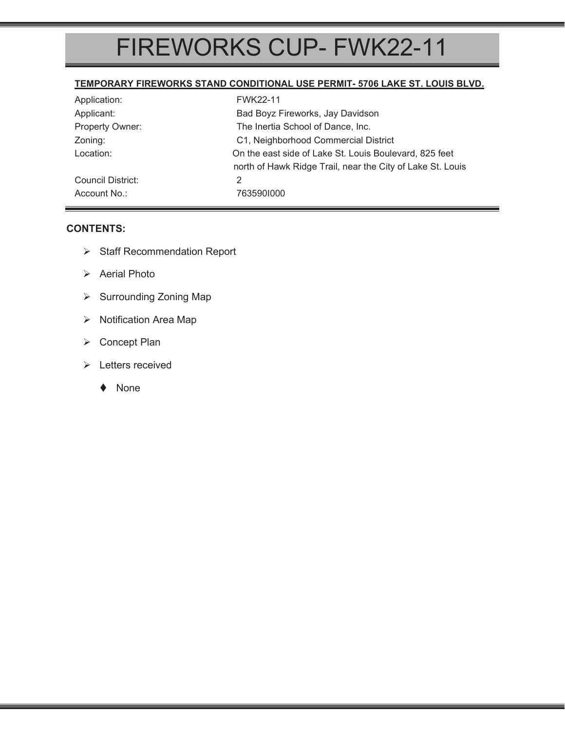# FIREWORKS CUP- FWK22-11

#### **TEMPORARY FIREWORKS STAND CONDITIONAL USE PERMIT- 5706 LAKE ST. LOUIS BLVD.**

| Application:      | <b>FWK22-11</b>                                                                                                      |
|-------------------|----------------------------------------------------------------------------------------------------------------------|
| Applicant:        | Bad Boyz Fireworks, Jay Davidson                                                                                     |
| Property Owner:   | The Inertia School of Dance, Inc.                                                                                    |
| Zoning:           | C1, Neighborhood Commercial District                                                                                 |
| Location:         | On the east side of Lake St. Louis Boulevard, 825 feet<br>north of Hawk Ridge Trail, near the City of Lake St. Louis |
| Council District: | 2                                                                                                                    |
| Account No.:      | 7635901000                                                                                                           |

# **CONTENTS:**

- ¾ Staff Recommendation Report
- $\triangleright$  Aerial Photo
- ▶ Surrounding Zoning Map
- ¾ Notification Area Map
- ¾ Concept Plan
- ¾ Letters received
	- ◆ None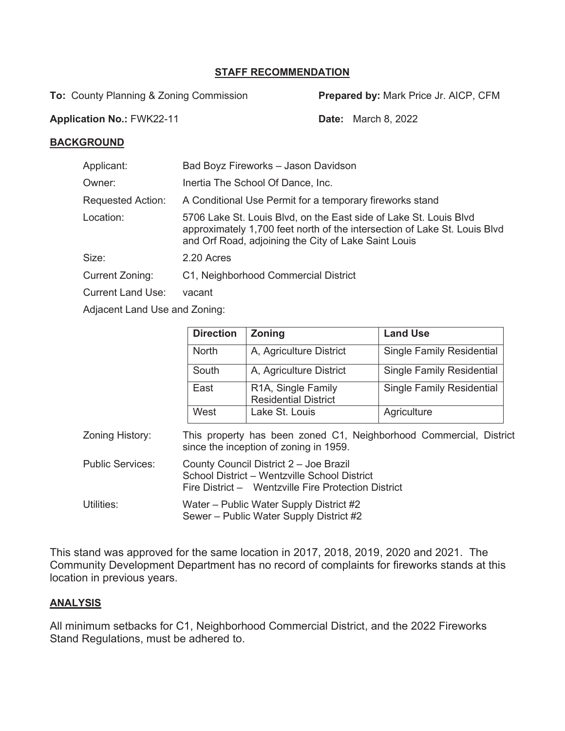# **STAFF RECOMMENDATION**

**To: County Planning & Zoning Commission <b>Prepared by:** Mark Price Jr. AICP, CFM

**Application No.:** FWK22-11 **Date:** March 8, 2022

## **BACKGROUND**

| Applicant:                     | Bad Boyz Fireworks - Jason Davidson                                                                                                                                                                    |
|--------------------------------|--------------------------------------------------------------------------------------------------------------------------------------------------------------------------------------------------------|
| Owner:                         | Inertia The School Of Dance, Inc.                                                                                                                                                                      |
| <b>Requested Action:</b>       | A Conditional Use Permit for a temporary fireworks stand                                                                                                                                               |
| Location:                      | 5706 Lake St. Louis Blvd, on the East side of Lake St. Louis Blvd<br>approximately 1,700 feet north of the intersection of Lake St. Louis Blvd<br>and Orf Road, adjoining the City of Lake Saint Louis |
| Size:                          | 2.20 Acres                                                                                                                                                                                             |
| Current Zoning:                | C1, Neighborhood Commercial District                                                                                                                                                                   |
| <b>Current Land Use:</b>       | vacant                                                                                                                                                                                                 |
| Adjacent Lond Lles and Zening. |                                                                                                                                                                                                        |

Adjacent Land Use and Zoning:

|                         | <b>Direction</b>                                                                                                                              | <b>Zoning</b>                                                                      | <b>Land Use</b>                  |  |  |
|-------------------------|-----------------------------------------------------------------------------------------------------------------------------------------------|------------------------------------------------------------------------------------|----------------------------------|--|--|
|                         | <b>North</b>                                                                                                                                  | A, Agriculture District                                                            | <b>Single Family Residential</b> |  |  |
|                         | South                                                                                                                                         | A, Agriculture District                                                            | <b>Single Family Residential</b> |  |  |
|                         | East                                                                                                                                          | R <sub>1</sub> A, Single Family<br><b>Residential District</b>                     | <b>Single Family Residential</b> |  |  |
|                         | West                                                                                                                                          | Lake St. Louis                                                                     | Agriculture                      |  |  |
| Zoning History:         | This property has been zoned C1, Neighborhood Commercial, District<br>since the inception of zoning in 1959.                                  |                                                                                    |                                  |  |  |
| <b>Public Services:</b> | County Council District 2 - Joe Brazil<br>School District - Wentzville School District<br>Fire District - Wentzville Fire Protection District |                                                                                    |                                  |  |  |
| Utilities:              |                                                                                                                                               | Water – Public Water Supply District #2<br>Sewer - Public Water Supply District #2 |                                  |  |  |

This stand was approved for the same location in 2017, 2018, 2019, 2020 and 2021. The Community Development Department has no record of complaints for fireworks stands at this location in previous years.

#### **ANALYSIS**

All minimum setbacks for C1, Neighborhood Commercial District, and the 2022 Fireworks Stand Regulations, must be adhered to.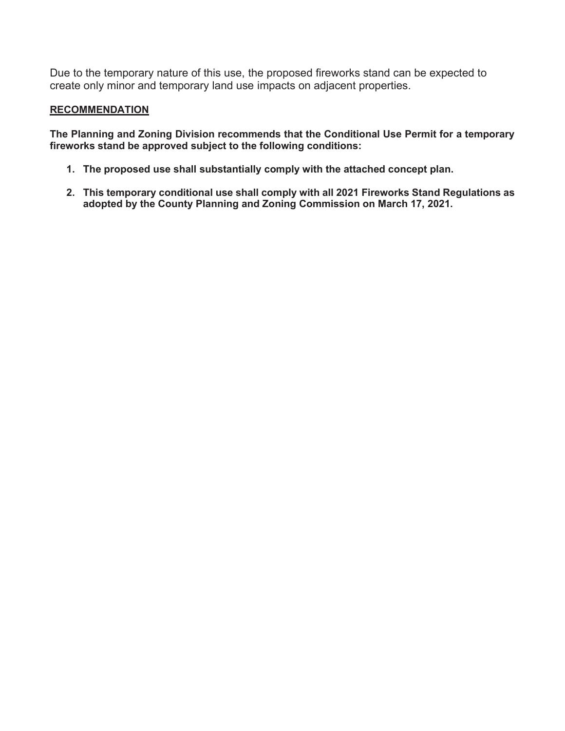Due to the temporary nature of this use, the proposed fireworks stand can be expected to create only minor and temporary land use impacts on adjacent properties.

## **RECOMMENDATION**

**The Planning and Zoning Division recommends that the Conditional Use Permit for a temporary fireworks stand be approved subject to the following conditions:** 

- **1. The proposed use shall substantially comply with the attached concept plan.**
- **2. This temporary conditional use shall comply with all 2021 Fireworks Stand Regulations as adopted by the County Planning and Zoning Commission on March 17, 2021.**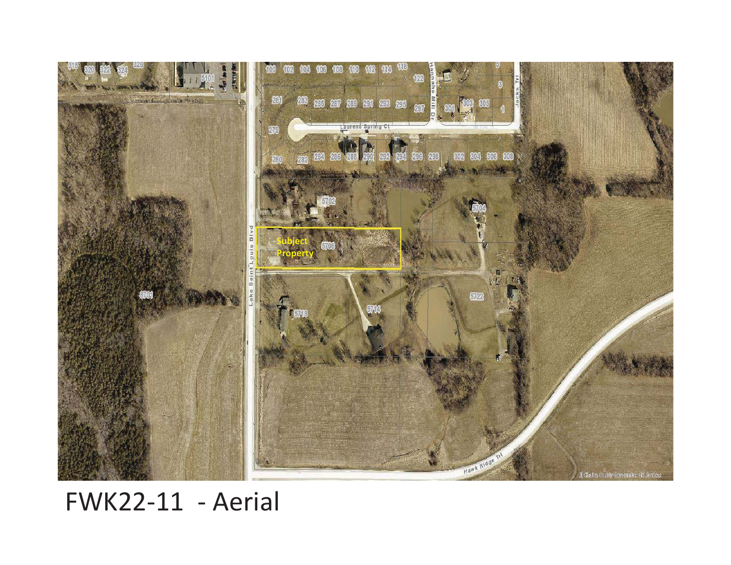

FWK22-11 - Aerial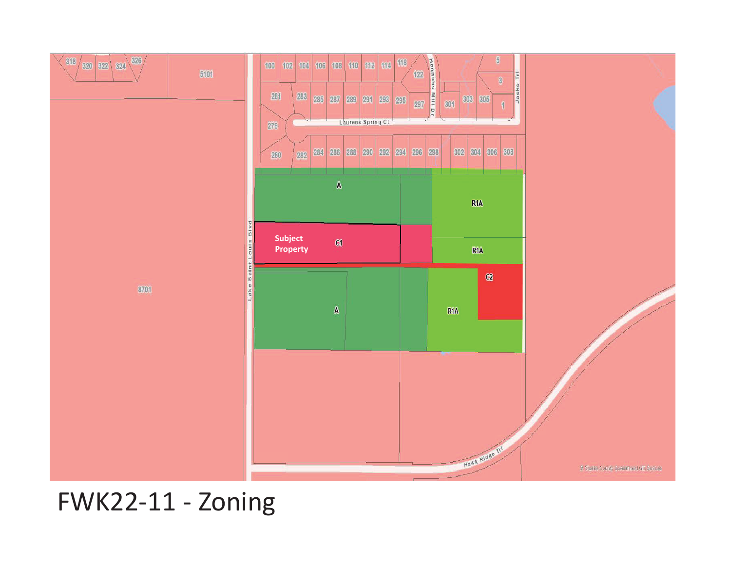

FWK22-11 - Zoning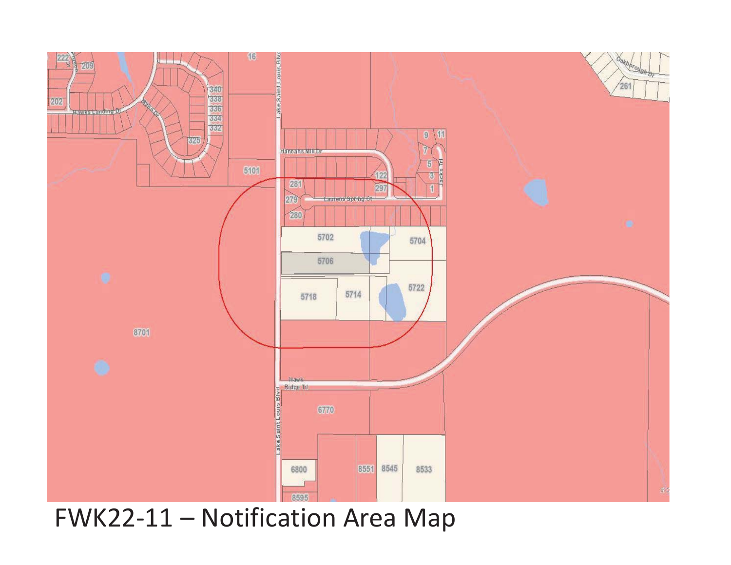

FWK22-11 – Notification Area Map